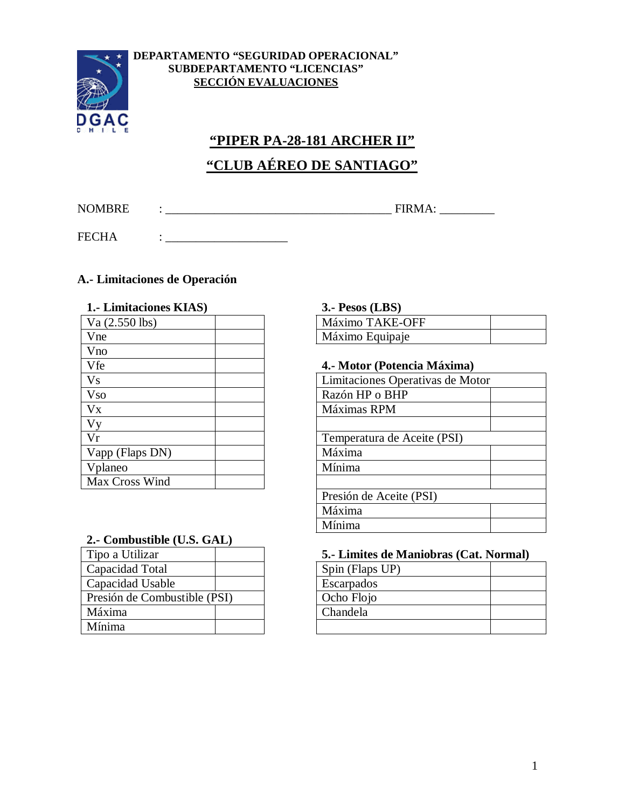

#### **DEPARTAMENTO "SEGURIDAD OPERACIONAL" SUBDEPARTAMENTO "LICENCIAS" SECCIÓN EVALUACIONES**

# **"PIPER PA-28-181 ARCHER II" "CLUB AÉREO DE SANTIAGO"**

NOMBRE : \_\_\_\_\_\_\_\_\_\_\_\_\_\_\_\_\_\_\_\_\_\_\_\_\_\_\_\_\_\_\_\_\_\_\_\_\_ FIRMA: \_\_\_\_\_\_\_\_\_

FECHA : \_\_\_\_\_\_\_\_\_\_\_\_\_\_\_\_\_\_\_\_

## **A.- Limitaciones de Operación**

| 1. Limitaciones KIAS) | 3.- Pesos (LBS)                  |
|-----------------------|----------------------------------|
| Va $(2.550$ lbs)      | Máximo TAKE-OFF                  |
| Vne                   | Máximo Equipaje                  |
| Vno                   |                                  |
| Vfe                   | 4.- Motor (Potencia Máxima)      |
| <b>Vs</b>             | Limitaciones Operativas de Motor |
| <b>Vso</b>            | Razón HP o BHP                   |
| Vx                    | Máximas RPM                      |
| Vy                    |                                  |
| Vr                    | Temperatura de Aceite (PSI)      |
| Vapp (Flaps DN)       | Máxima                           |
| Vplaneo               | Mínima                           |
| Max Cross Wind        |                                  |

### **2.- Combustible (U.S. GAL)**

| Tipo a Utilizar              |  | 5.- Limites de N |
|------------------------------|--|------------------|
| Capacidad Total              |  | Spin (Flaps UP)  |
| Capacidad Usable             |  | Escarpados       |
| Presión de Combustible (PSI) |  | Ocho Flojo       |
| Máxima                       |  | Chandela         |
| Mínima                       |  |                  |

#### **1.- Limitaciones KIAS) 3.- Pesos (LBS)**

| Máximo TAKE-OFF |  |
|-----------------|--|
| Máximo Equipaje |  |

#### Vfe **4.- Motor (Potencia Máxima)**

| Limitaciones Operativas de Motor |
|----------------------------------|
| Razón HP o BHP                   |
| Máximas RPM                      |
|                                  |
| Temperatura de Aceite (PSI)      |
| Máxima                           |
| Mínima                           |
|                                  |
| Presión de Aceite (PSI)          |
| Máxima                           |
| Mínima                           |

#### 5.- Limites de Maniobras (Cat. Normal)

| Spin (Flaps UP) |  |
|-----------------|--|
| Escarpados      |  |
| Ocho Flojo      |  |
| Chandela        |  |
|                 |  |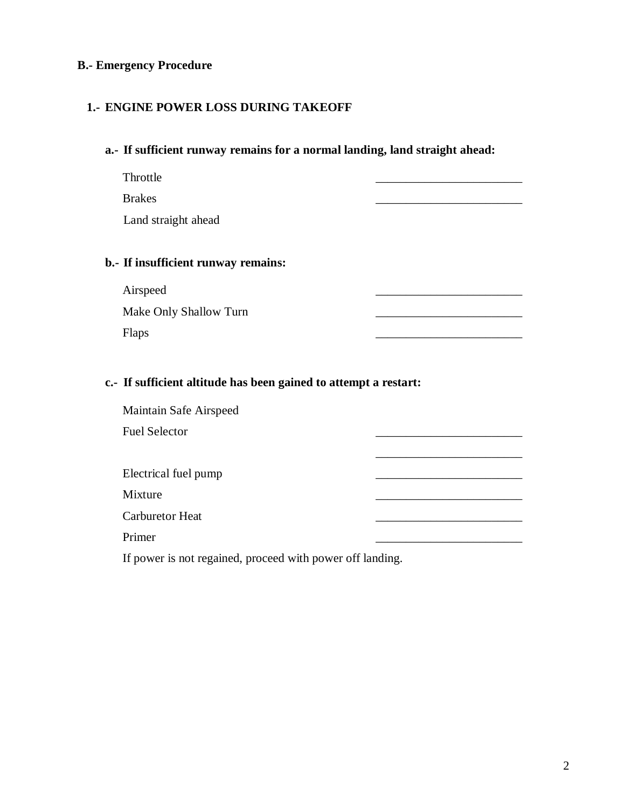## **B.- Emergency Procedure**

## **1.- ENGINE POWER LOSS DURING TAKEOFF**

#### **a.- If sufficient runway remains for a normal landing, land straight ahead:**

Throttle \_\_\_\_\_\_\_\_\_\_\_\_\_\_\_\_\_\_\_\_\_\_\_\_ Brakes \_\_\_\_\_\_\_\_\_\_\_\_\_\_\_\_\_\_\_\_\_\_\_\_ Land straight ahead

## **b.- If insufficient runway remains:**

| Airspeed               |  |
|------------------------|--|
| Make Only Shallow Turn |  |
| <b>Flaps</b>           |  |

#### **c.- If sufficient altitude has been gained to attempt a restart:**

| Maintain Safe Airspeed |  |
|------------------------|--|
| <b>Fuel Selector</b>   |  |
|                        |  |
| Electrical fuel pump   |  |
| Mixture                |  |
| <b>Carburetor Heat</b> |  |
| Primer                 |  |
|                        |  |

If power is not regained, proceed with power off landing.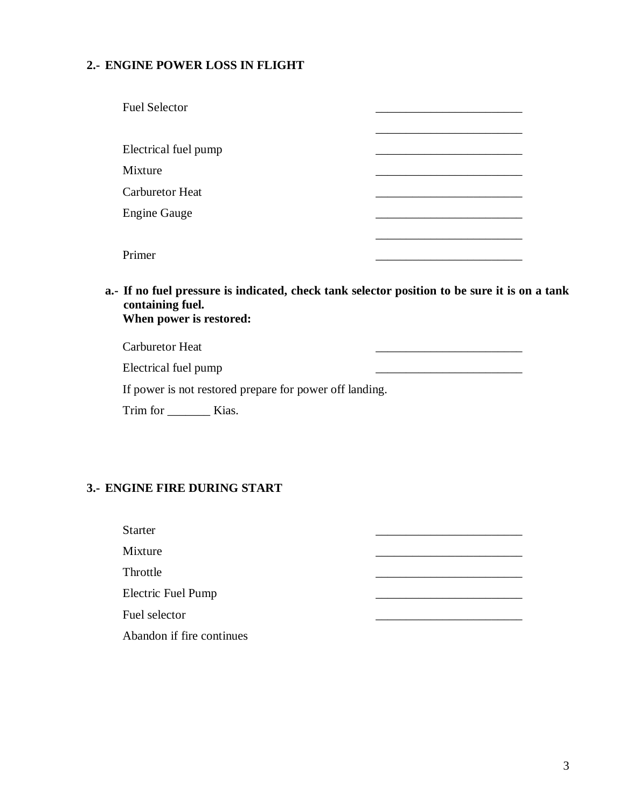## **2.- ENGINE POWER LOSS IN FLIGHT**

| <b>Fuel Selector</b>   |  |
|------------------------|--|
| Electrical fuel pump   |  |
| Mixture                |  |
| <b>Carburetor Heat</b> |  |
| <b>Engine Gauge</b>    |  |
|                        |  |
| Primer                 |  |

**a.- If no fuel pressure is indicated, check tank selector position to be sure it is on a tank containing fuel. When power is restored:**

Carburetor Heat \_\_\_\_\_\_\_\_\_\_\_\_\_\_\_\_\_\_\_\_\_\_\_\_

Electrical fuel pump example and the settlement of the settlement of the settlement of the settlement of the set

If power is not restored prepare for power off landing.

Trim for \_\_\_\_\_\_\_\_\_\_\_ Kias.

#### **3.- ENGINE FIRE DURING START**

Starter  $\overline{\phantom{a}}$ Mixture \_\_\_\_\_\_\_\_\_\_\_\_\_\_\_\_\_\_\_\_\_\_\_\_ Throttle \_\_\_\_\_\_\_\_\_\_\_\_\_\_\_\_\_\_\_\_\_\_\_\_ Electric Fuel Pump **Electric Fuel Pump** Fuel selector Abandon if fire continues